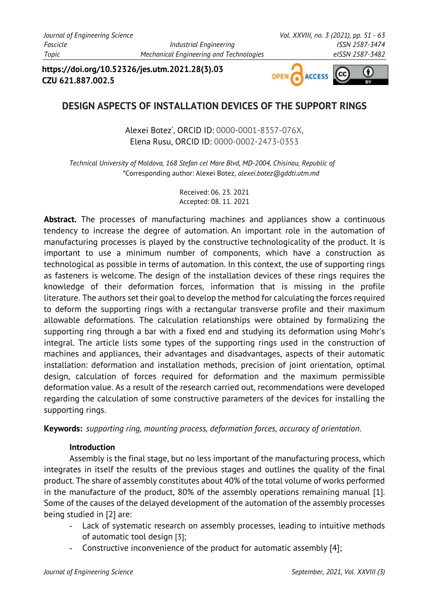**https://doi.org/10.52326/jes.utm.2021.28(3).03 CZU 621.887.002.5**



# **DESIGN ASPECTS OF INSTALLATION DEVICES OF THE SUPPORT RINGS**

Alexei Botez\* , ORCID ID: 0000-0001-8357-076X, Elena Rusu, ORCID ID: 0000-0002-2473-0353

*Technical University of Moldova, 168 Stefan cel Mare Blvd, MD-2004, Chisinau, Republic of Moldova* \*Corresponding author: Alexei Botez, *alexei.botez@gddti.utm.md*

> Received: 06. 23. 2021 Accepted: 08. 11. 2021

**Abstract.** The processes of manufacturing machines and appliances show a continuous tendency to increase the degree of automation. An important role in the automation of manufacturing processes is played by the constructive technologicality of the product. It is important to use a minimum number of components, which have a construction as technological as possible in terms of automation. In this context, the use of supporting rings as fasteners is welcome. The design of the installation devices of these rings requires the knowledge of their deformation forces, information that is missing in the profile literature. The authors set their goal to develop the method for calculating the forces required to deform the supporting rings with a rectangular transverse profile and their maximum allowable deformations. The calculation relationships were obtained by formalizing the supporting ring through a bar with a fixed end and studying its deformation using Mohr's integral. The article lists some types of the supporting rings used in the construction of machines and appliances, their advantages and disadvantages, aspects of their automatic installation: deformation and installation methods, precision of joint orientation, optimal design, calculation of forces required for deformation and the maximum permissible deformation value. As a result of the research carried out, recommendations were developed regarding the calculation of some constructive parameters of the devices for installing the supporting rings.

**Keywords:** *supporting ring, mounting process, deformation forces, accuracy of orientation*.

#### **Introduction**

Assembly is the final stage, but no less important of the manufacturing process, which integrates in itself the results of the previous stages and outlines the quality of the final product. The share of assembly constitutes about 40% of the total volume of works performed in the manufacture of the product, 80% of the assembly operations remaining manual [1]. Some of the causes of the delayed development of the automation of the assembly processes being studied in [2] are:

- Lack of systematic research on assembly processes, leading to intuitive methods of automatic tool design [3];
- Constructive inconvenience of the product for automatic assembly [4];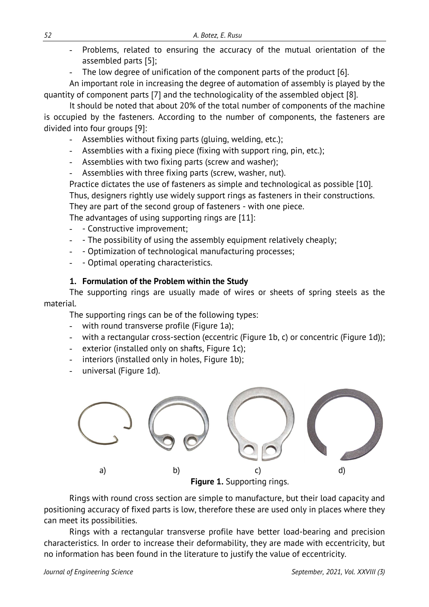- Problems, related to ensuring the accuracy of the mutual orientation of the assembled parts [5];
- The low degree of unification of the component parts of the product [6].

An important role in increasing the degree of automation of assembly is played by the quantity of component parts [7] and the technologicality of the assembled object [8].

It should be noted that about 20% of the total number of components of the machine is occupied by the fasteners. According to the number of components, the fasteners are divided into four groups [9]:

- Assemblies without fixing parts (gluing, welding, etc.);
- Assemblies with a fixing piece (fixing with support ring, pin, etc.);
- Assemblies with two fixing parts (screw and washer);
- Assemblies with three fixing parts (screw, washer, nut).

Practice dictates the use of fasteners as simple and technological as possible [10].

Thus, designers rightly use widely support rings as fasteners in their constructions.

They are part of the second group of fasteners - with one piece.

The advantages of using supporting rings are [11]:

- - Constructive improvement;
- - The possibility of using the assembly equipment relatively cheaply;
- - Optimization of technological manufacturing processes;
- Optimal operating characteristics.

## **1. Formulation of the Problem within the Study**

The supporting rings are usually made of wires or sheets of spring steels as the material.

The supporting rings can be of the following types:

- with round transverse profile (Figure 1a);
- with a rectangular cross-section (eccentric (Figure 1b, c) or concentric (Figure 1d));
- exterior (installed only on shafts, Figure 1c);
- interiors (installed only in holes, Figure 1b);
- universal (Figure 1d).



Rings with round cross section are simple to manufacture, but their load capacity and positioning accuracy of fixed parts is low, therefore these are used only in places where they can meet its possibilities.

Rings with a rectangular transverse profile have better load-bearing and precision characteristics. In order to increase their deformability, they are made with eccentricity, but no information has been found in the literature to justify the value of eccentricity.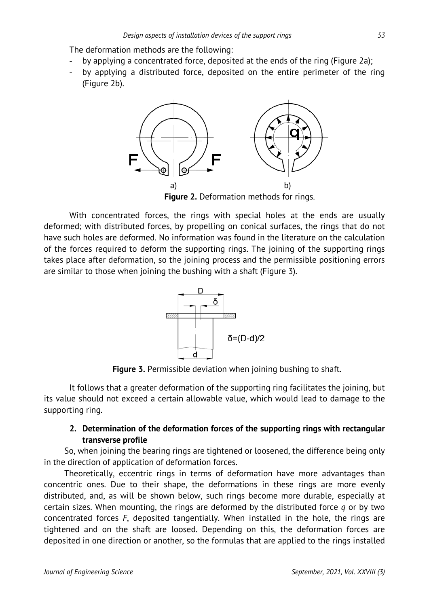The deformation methods are the following:

- by applying a concentrated force, deposited at the ends of the ring (Figure 2a);
- by applying a distributed force, deposited on the entire perimeter of the ring (Figure 2b).



**Figure 2.** Deformation methods for rings.

With concentrated forces, the rings with special holes at the ends are usually deformed; with distributed forces, by propelling on conical surfaces, the rings that do not have such holes are deformed. No information was found in the literature on the calculation of the forces required to deform the supporting rings. The joining of the supporting rings takes place after deformation, so the joining process and the permissible positioning errors are similar to those when joining the bushing with a shaft (Figure 3).



**Figure 3.** Permissible deviation when joining bushing to shaft.

It follows that a greater deformation of the supporting ring facilitates the joining, but its value should not exceed a certain allowable value, which would lead to damage to the supporting ring.

### **2. Determination of the deformation forces of the supporting rings with rectangular transverse profile**

So, when joining the bearing rings are tightened or loosened, the difference being only in the direction of application of deformation forces.

Theoretically, eccentric rings in terms of deformation have more advantages than concentric ones. Due to their shape, the deformations in these rings are more evenly distributed, and, as will be shown below, such rings become more durable, especially at certain sizes. When mounting, the rings are deformed by the distributed force *q* or by two concentrated forces *F*, deposited tangentially. When installed in the hole, the rings are tightened and on the shaft are loosed. Depending on this, the deformation forces are deposited in one direction or another, so the formulas that are applied to the rings installed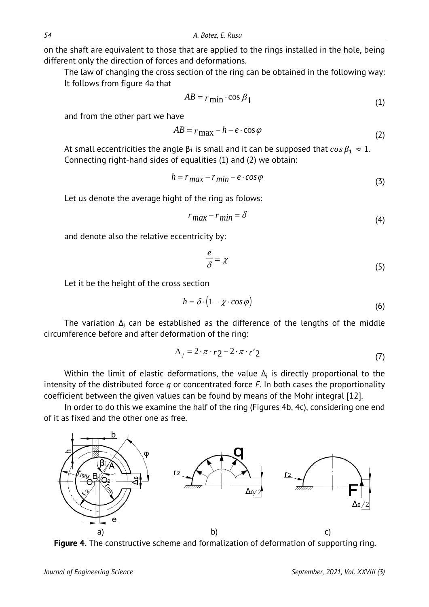on the shaft are equivalent to those that are applied to the rings installed in the hole, being different only the direction of forces and deformations.

The law of changing the cross section of the ring can be obtained in the following way: It follows from figure 4a that

$$
AB = r \min \cdot \cos \beta_1 \tag{1}
$$

and from the other part we have

$$
AB = r_{\text{max}} - h - e \cdot \cos \varphi \tag{2}
$$

At small eccentricities the angle  $\beta_1$  is small and it can be supposed that  $\cos \beta_1 \approx 1$ . Connecting right-hand sides of equalities (1) and (2) we obtain:

$$
h = r_{\text{max}} - r_{\text{min}} - e \cdot \cos \varphi \tag{3}
$$

Let us denote the average hight of the ring as folows:

$$
r_{max} - r_{min} = \delta \tag{4}
$$

and denote also the relative eccentricity by:

$$
\frac{e}{\delta} = \chi \tag{5}
$$

Let it be the height of the cross section

$$
h = \delta \cdot (1 - \chi \cdot \cos \varphi) \tag{6}
$$

The variation  $\Delta_j$  can be established as the difference of the lengths of the middle circumference before and after deformation of the ring:

$$
\Delta_j = 2 \cdot \pi \cdot r_2 - 2 \cdot \pi \cdot r'_2 \tag{7}
$$

Within the limit of elastic deformations, the value  $\Delta_j$  is directly proportional to the intensity of the distributed force *q* or concentrated force *F*. In both cases the proportionality coefficient between the given values can be found by means of the Mohr integral [12].

In order to do this we examine the half of the ring (Figures 4b, 4c), considering one end of it as fixed and the other one as free.



**Figure 4.** The constructive scheme and formalization of deformation of supporting ring.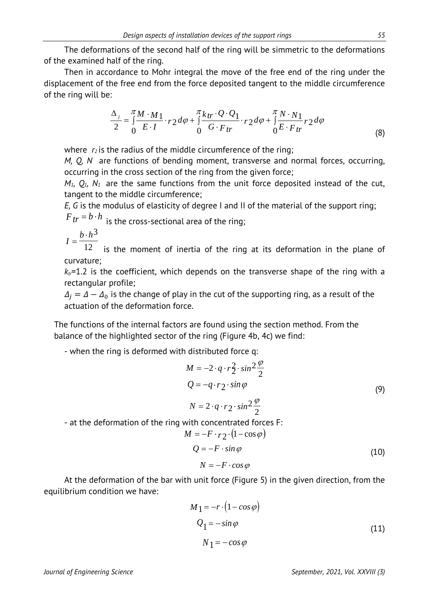The deformations of the second half of the ring will be simmetric to the deformations of the examined half of the ring.

Then in accordance to Mohr integral the move of the free end of the ring under the displacement of the free end from the force deposited tangent to the middle circumference of the ring will be:

$$
\frac{\Delta_j}{2} = \int_0^{\pi} \frac{M \cdot M_1}{E \cdot I} \cdot r_2 d\varphi + \int_0^{\pi} \frac{k_{tr} \cdot Q \cdot Q_1}{G \cdot F_{tr}} \cdot r_2 d\varphi + \int_0^{\pi} \frac{N \cdot N_1}{E \cdot F_{tr}} r_2 d\varphi \tag{8}
$$

where  $r_2$  is the radius of the middle circumference of the ring;

*M, Q, N* are functions of bending moment, transverse and normal forces, occurring, occurring in the cross section of the ring from the given force;

 $M_1$ ,  $Q_1$ ,  $N_1$  are the same functions from the unit force deposited instead of the cut, tangent to the middle circumference;

*E, G* is the modulus of elasticity of degree I and II of the material of the support ring;

 $F_{tr} = b \cdot h$  is the cross-sectional area of the ring;

$$
I = \frac{b \cdot h^3}{12}
$$

 $12$  is the moment of inertia of the ring at its deformation in the plane of curvature;

 $k_t$ =1.2 is the coefficient, which depends on the transverse shape of the ring with a rectangular profile;

 $\Delta_i = \Delta - \Delta_0$  is the change of play in the cut of the supporting ring, as a result of the actuation of the deformation force.

The functions of the internal factors are found using the section method. From the balance of the highlighted sector of the ring (Figure 4b, 4c) we find:

- when the ring is deformed with distributed force q:

$$
M = -2 \cdot q \cdot r_2^2 \cdot \sin^2 \frac{\varphi}{2}
$$
  

$$
Q = -q \cdot r_2 \cdot \sin \varphi
$$
  

$$
N = 2 \cdot q \cdot r_2 \cdot \sin^2 \frac{\varphi}{2}
$$
 (9)

- at the deformation of the ring with concentrated forces F:

$$
M = -F \cdot r_2 \cdot (1 - \cos \varphi)
$$
  

$$
Q = -F \cdot \sin \varphi
$$
  

$$
N = -F \cdot \cos \varphi
$$
 (10)

At the deformation of the bar with unit force (Figure 5) in the given direction, from the equilibrium condition we have:  $\mathbb{R}^2$ 

$$
M_1 = -r \cdot (1 - \cos \varphi)
$$
  
\n
$$
Q_1 = -\sin \varphi
$$
  
\n
$$
N_1 = -\cos \varphi
$$
\n(11)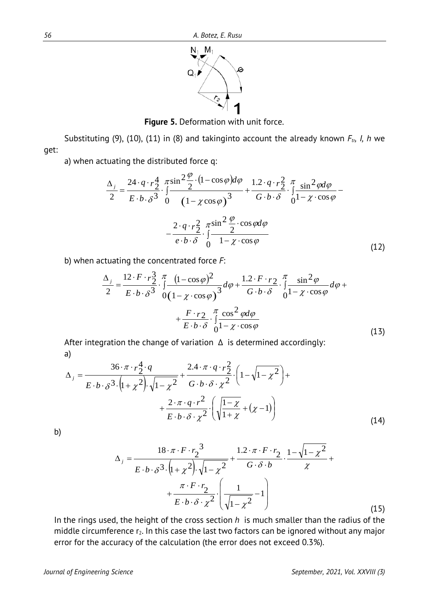

**Figure 5.** Deformation with unit force.

Substituting (9), (10), (11) in (8) and takinginto account the already known  $F_{tr}$ , *l, h* we get:

a) when actuating the distributed force q:

$$
\frac{\Delta_j}{2} = \frac{24 \cdot q \cdot r_2^4}{E \cdot b \cdot \delta^3} \cdot \int_0^{\pi} \frac{\sin^2 \frac{\varphi}{2} \cdot (1 - \cos \varphi) d\varphi}{(1 - \chi \cos \varphi)^3} + \frac{1 \cdot 2 \cdot q \cdot r_2^2}{G \cdot b \cdot \delta} \cdot \int_0^{\pi} \frac{\sin^2 \varphi d\varphi}{1 - \chi \cdot \cos \varphi} - \frac{2 \cdot q \cdot r_2^2}{e \cdot b \cdot \delta} \cdot \int_0^{\pi} \frac{\sin^2 \frac{\varphi}{2} \cdot \cos \varphi d\varphi}{1 - \chi \cdot \cos \varphi}
$$
\n(12)

b) when actuating the concentrated force *F*:

$$
\frac{\Delta_{j}}{2} = \frac{12 \cdot F \cdot r_{2}^{3}}{E \cdot b \cdot \delta^{3}} \cdot \int_{0}^{\pi} \frac{(1 - \cos \varphi)^{2}}{(1 - \chi \cdot \cos \varphi)^{3}} d\varphi + \frac{1 \cdot 2 \cdot F \cdot r_{2}}{G \cdot b \cdot \delta} \cdot \int_{0}^{\pi} \frac{\sin^{2} \varphi}{1 - \chi \cdot \cos \varphi} d\varphi + \frac{F \cdot r_{2}}{E \cdot b \cdot \delta} \cdot \int_{0}^{\pi} \frac{\cos^{2} \varphi d\varphi}{1 - \chi \cdot \cos \varphi}
$$
\n(13)

After integration the change of variation  $\Delta$  is determined accordingly: a)

$$
\Delta_j = \frac{36 \cdot \pi \cdot r_2^4 \cdot q}{E \cdot b \cdot \delta^3 \cdot (1 + \chi^2) \cdot \sqrt{1 - \chi^2}} + \frac{2 \cdot 4 \cdot \pi \cdot q \cdot r_2^2}{G \cdot b \cdot \delta \cdot \chi^2} \cdot \left(1 - \sqrt{1 - \chi^2}\right) + \frac{2 \cdot \pi \cdot q \cdot r^2}{E \cdot b \cdot \delta \cdot \chi^2} \cdot \left(\sqrt{\frac{1 - \chi}{1 + \chi}} + (\chi - 1)\right)
$$
(14)

b)

$$
\Delta_{j} = \frac{18 \cdot \pi \cdot F \cdot r_{2}^{3}}{E \cdot b \cdot \delta^{3} \cdot (1 + \chi^{2}) \cdot \sqrt{1 - \chi^{2}}} + \frac{1.2 \cdot \pi \cdot F \cdot r_{2}}{G \cdot \delta \cdot b} \cdot \frac{1 - \sqrt{1 - \chi^{2}}}{\chi} + \frac{\pi \cdot F \cdot r_{2}}{E \cdot b \cdot \delta \cdot \chi^{2}} \cdot \left(\frac{1}{\sqrt{1 - \chi^{2}}} - 1\right)
$$
(15)

In the rings used, the height of the cross section *h* is much smaller than the radius of the middle circumference  $r_2$ . In this case the last two factors can be ignored without any major error for the accuracy of the calculation (the error does not exceed 0.3%).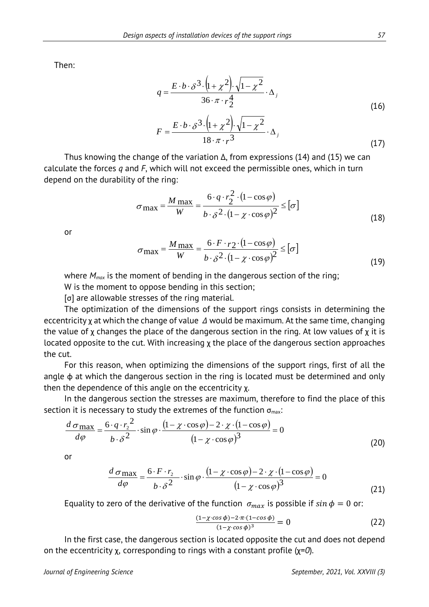Then:

$$
q = \frac{E \cdot b \cdot \delta^{3} \cdot (1 + \chi^{2}) \cdot \sqrt{1 - \chi^{2}}}{36 \cdot \pi \cdot r_{2}^{4}} \cdot \Delta_{j}
$$
\n
$$
F = \frac{E \cdot b \cdot \delta^{3} \cdot (1 + \chi^{2}) \cdot \sqrt{1 - \chi^{2}}}{18 \cdot \pi \cdot r^{3}} \cdot \Delta_{j}
$$
\n(17)

Thus knowing the change of the variation  $\Delta$ , from expressions (14) and (15) we can calculate the forces *q* and *F*, which will not exceed the permissible ones, which in turn depend on the durability of the ring:

$$
\sigma_{\text{max}} = \frac{M_{\text{max}}}{W} = \frac{6 \cdot q \cdot r_2^2 \cdot (1 - \cos \varphi)}{b \cdot \delta^2 \cdot (1 - \chi \cdot \cos \varphi)^2} \leq [\sigma]
$$
(18)

or

$$
\sigma_{\text{max}} = \frac{M_{\text{max}}}{W} = \frac{6 \cdot F \cdot r_2 \cdot (1 - \cos \varphi)}{b \cdot \delta^2 \cdot (1 - \chi \cdot \cos \varphi)^2} \leq [\sigma]
$$
(19)

where  $M_{max}$  is the moment of bending in the dangerous section of the ring;

W is the moment to oppose bending in this section;

[σ] are allowable stresses of the ring material.

The optimization of the dimensions of the support rings consists in determining the eccentricity x at which the change of value  $\Delta$  would be maximum. At the same time, changing the value of χ changes the place of the dangerous section in the ring. At low values of χ it is located opposite to the cut. With increasing  $\chi$  the place of the dangerous section approaches the cut.

For this reason, when optimizing the dimensions of the support rings, first of all the angle  $\phi$  at which the dangerous section in the ring is located must be determined and only then the dependence of this angle on the eccentricity χ.

In the dangerous section the stresses are maximum, therefore to find the place of this section it is necessary to study the extremes of the function  $\sigma_{\text{max}}$ :

$$
\frac{d\sigma_{\text{max}}}{d\varphi} = \frac{6 \cdot q \cdot r_2^2}{b \cdot \delta^2} \cdot \sin \varphi \cdot \frac{(1 - \chi \cdot \cos \varphi) - 2 \cdot \chi \cdot (1 - \cos \varphi)}{(1 - \chi \cdot \cos \varphi)^3} = 0
$$
\n(20)

or

$$
\frac{d\sigma_{\text{max}}}{d\varphi} = \frac{6 \cdot F \cdot r_2}{b \cdot \delta^2} \cdot \sin \varphi \cdot \frac{(1 - \chi \cdot \cos \varphi) - 2 \cdot \chi \cdot (1 - \cos \varphi)}{(1 - \chi \cdot \cos \varphi)^3} = 0
$$
\n(21)

Equality to zero of the derivative of the function  $\sigma_{max}$  is possible if  $sin \phi = 0$  or:

$$
\frac{(1-\chi\cdot\cos\phi)-2\cdot\pi\cdot(1-\cos\phi)}{(1-\chi\cdot\cos\phi)^3}=0\tag{22}
$$

In the first case, the dangerous section is located opposite the cut and does not depend on the eccentricity χ, corresponding to rings with a constant profile (χ=*0*).

(17)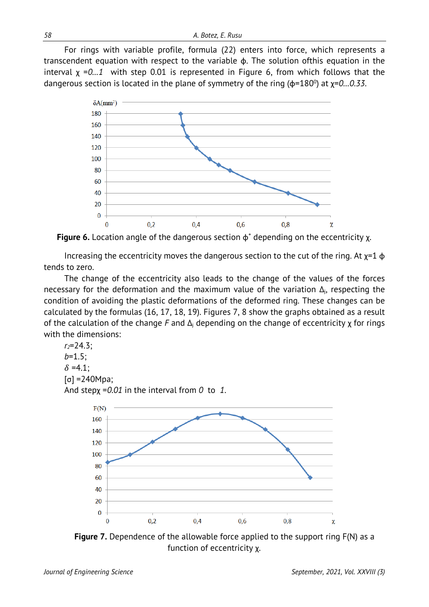For rings with variable profile, formula (22) enters into force, which represents a transcendent equation with respect to the variable φ. The solution ofthis equation in the interval χ =*0…1* with step 0.01 is represented in Figure 6, from which follows that the dangerous section is located in the plane of symmetry of the ring (φ=180<sup>o</sup>) at χ=0...0.33.



**Figure 6.** Location angle of the dangerous section φ˚ depending on the eccentricity χ.

Increasing the eccentricity moves the dangerous section to the cut of the ring. At  $x=1$   $\phi$ tends to zero.

The change of the eccentricity also leads to the change of the values of the forces necessary for the deformation and the maximum value of the variation  $\Delta_i$ , respecting the condition of avoiding the plastic deformations of the deformed ring. These changes can be calculated by the formulas (16, 17, 18, 19). Figures 7, 8 show the graphs obtained as a result of the calculation of the change *F* and Δ<sup>j</sup> depending on the change of eccentricity χ for rings with the dimensions:

 $r_2 = 24.3$ ; *b*=1.5;  $\delta = 4.1$ :  $[σ] = 240Mpa;$ And stepχ =*0.01* in the interval from *0* to *1*.



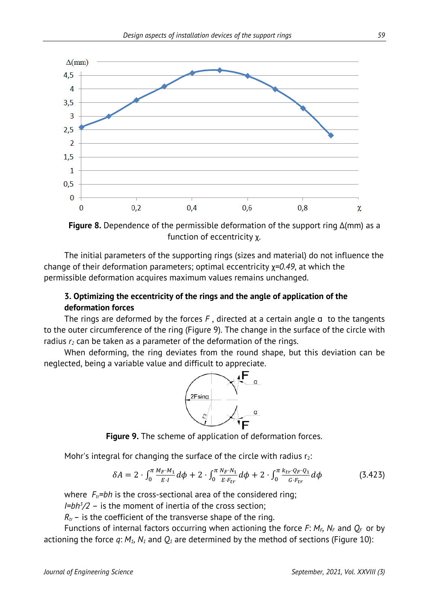

**Figure 8.** Dependence of the permissible deformation of the support ring Δ(mm) as a function of eccentricity χ.

The initial parameters of the supporting rings (sizes and material) do not influence the change of their deformation parameters; optimal eccentricity χ*=0.49*, at which the permissible deformation acquires maximum values remains unchanged.

#### **3. Optimizing the eccentricity of the rings and the angle of application of the deformation forces**

The rings are deformed by the forces  $F$ , directed at a certain angle  $a$  to the tangents to the outer circumference of the ring (Figure 9). The change in the surface of the circle with radius  $r_2$  can be taken as a parameter of the deformation of the rings.

When deforming, the ring deviates from the round shape, but this deviation can be neglected, being a variable value and difficult to appreciate.



**Figure 9.** The scheme of application of deformation forces.

Mohr's integral for changing the surface of the circle with radius  $r_2$ :

$$
\delta A = 2 \cdot \int_0^{\pi} \frac{M_F \cdot M_1}{E \cdot I} d\phi + 2 \cdot \int_0^{\pi} \frac{N_F \cdot N_1}{E \cdot F_{tr}} d\phi + 2 \cdot \int_0^{\pi} \frac{k_{tr} \cdot Q_F \cdot Q_1}{G \cdot F_{tr}} d\phi \tag{3.423}
$$

where  $F_t$ =bh is the cross-sectional area of the considered ring;

*I=bh3 /2* – is the moment of inertia of the cross section;

 $R<sub>tr</sub>$ – is the coefficient of the transverse shape of the ring.

Functions of internal factors occurring when actioning the force  $F: M_F$ ,  $N_F$  and  $Q_F$  or by actioning the force  $q: M_1, N_1$  and  $Q_1$  are determined by the method of sections (Figure 10):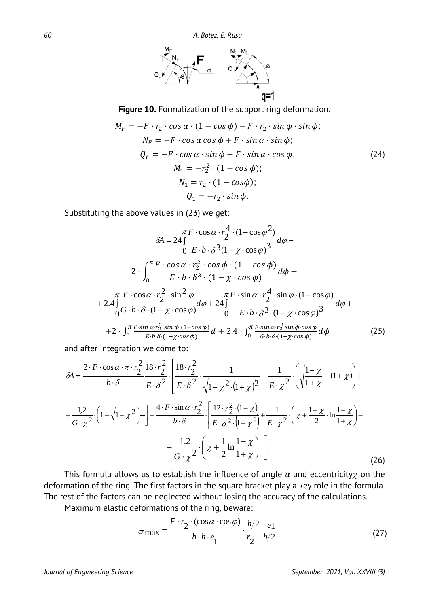

**Figure 10.** Formalization of the support ring deformation.

$$
M_F = -F \cdot r_2 \cdot \cos \alpha \cdot (1 - \cos \phi) - F \cdot r_2 \cdot \sin \phi \cdot \sin \phi;
$$
  
\n
$$
N_F = -F \cdot \cos \alpha \cos \phi + F \cdot \sin \alpha \cdot \sin \phi;
$$
  
\n
$$
Q_F = -F \cdot \cos \alpha \cdot \sin \phi - F \cdot \sin \alpha \cdot \cos \phi;
$$
  
\n
$$
M_1 = -r_2^2 \cdot (1 - \cos \phi);
$$
  
\n
$$
N_1 = r_2 \cdot (1 - \cos \phi);
$$
  
\n
$$
Q_1 = -r_2 \cdot \sin \phi.
$$
  
\n(24)

Substituting the above values in (23) we get:

$$
\delta A = 24 \int \frac{\pi F \cdot \cos \alpha \cdot r_2^4 \cdot (1 - \cos \varphi^2)}{6 E \cdot b \cdot \delta^3 (1 - \chi \cdot \cos \varphi)^3} d\varphi - 0 \quad E \cdot b \cdot \delta^3 (1 - \chi \cdot \cos \varphi)^3 d\varphi + 2 \cdot \int_0^{\pi} \frac{F \cdot \cos \alpha \cdot r_2^2 \cdot \cos \varphi \cdot (1 - \cos \varphi)}{E \cdot b \cdot \delta^3 \cdot (1 - \chi \cdot \cos \varphi)} d\varphi + 2.4 \int \frac{\pi F \cdot \cos \alpha \cdot r_2^2 \cdot \sin^2 \varphi}{\sqrt{G \cdot b \cdot \delta \cdot (1 - \chi \cdot \cos \varphi)}} d\varphi + 24 \int \frac{\pi F \cdot \sin \alpha \cdot r_2^4 \cdot \sin \varphi \cdot (1 - \cos \varphi)}{B \cdot b \cdot \delta^3 (1 - \chi \cdot \cos \varphi)^3} d\varphi + 24 \int \frac{\pi F \cdot \sin \alpha \cdot r_2^2 \sin \varphi \cdot \cos \varphi}{\sqrt{G \cdot b \cdot \delta \cdot (1 - \chi \cdot \cos \varphi)}} d\varphi + 24 \int \frac{\pi F \cdot \sin \alpha \cdot r_2^2 \sin \varphi \cdot \cos \varphi}{\sqrt{G \cdot b \cdot \delta \cdot (1 - \chi \cdot \cos \varphi)}} d\varphi
$$
\n(25)

and after integration we come to:

$$
\delta A = \frac{2 \cdot F \cdot \cos \alpha \cdot \pi \cdot r_2^2}{b \cdot \delta} \frac{18 \cdot r_2^2}{E \cdot \delta^2} \cdot \frac{1}{\sqrt{1 - \chi^2} \cdot (1 + \chi)^2} + \frac{1}{E \cdot \chi^2} \cdot \left( \sqrt{\frac{1 - \chi}{1 + \chi}} - (1 + \chi) \right) + \frac{1,2}{G \cdot \chi^2} \cdot \left( 1 - \sqrt{1 - \chi^2} \right) - \frac{4 \cdot F \cdot \sin \alpha \cdot r_2^2}{b \cdot \delta} \cdot \frac{1}{\left[ \frac{12 \cdot r_2^2 \cdot (1 - \chi)}{E \cdot \delta^2 \cdot (1 - \chi^2)} + \frac{1}{E \cdot \chi^2} \cdot \left( \chi + \frac{1 - \chi}{2} \cdot \ln \frac{1 - \chi}{1 + \chi} \right) - \frac{1,2}{G \cdot \chi^2} \cdot \left( \chi + \frac{1}{2} \ln \frac{1 - \chi}{1 + \chi} \right) - \frac{1,2}{G \cdot \chi^2} \cdot \left( \chi + \frac{1}{2} \ln \frac{1 - \chi}{1 + \chi} \right) - \frac{1,2}{G \cdot \chi^2} \cdot \left( \chi + \frac{1}{2} \ln \frac{1 - \chi}{1 + \chi} \right) - \frac{1,2}{G \cdot \chi^2} \cdot \left( \chi + \frac{1}{2} \ln \frac{1 - \chi}{1 + \chi} \right) - \frac{1}{G \cdot \chi^2} \cdot \frac{1}{\left( \chi + \frac{1}{2} \ln \frac{1 - \chi}{1 + \chi} \right)} - \frac{1}{\chi^2} \tag{26}
$$

This formula allows us to establish the influence of angle  $\alpha$  and eccentricity $\chi$  on the deformation of the ring. The first factors in the square bracket play a key role in the formula. The rest of the factors can be neglected without losing the accuracy of the calculations.

Maximum elastic deformations of the ring, beware:

$$
\sigma_{\text{max}} = \frac{F \cdot r_2 \cdot (\cos \alpha \cdot \cos \varphi)}{b \cdot h \cdot e_1} \cdot \frac{h/2 - e_1}{r_2 - h/2}
$$
 (27)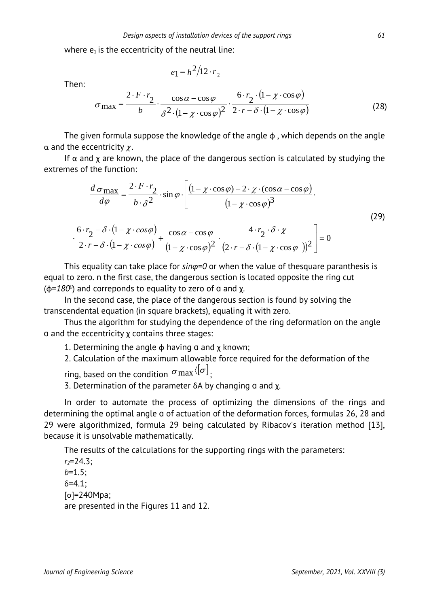where  $e_1$  is the eccentricity of the neutral line:

$$
e_1 = h^2/12 \cdot r_2
$$

Then:

$$
\sigma_{\text{max}} = \frac{2 \cdot F \cdot r_2}{b} \cdot \frac{\cos \alpha - \cos \varphi}{\delta^2 \cdot (1 - \chi \cdot \cos \varphi)^2} \cdot \frac{6 \cdot r_2 \cdot (1 - \chi \cdot \cos \varphi)}{2 \cdot r - \delta \cdot (1 - \chi \cdot \cos \varphi)}
$$
(28)

The given formula suppose the knowledge of the angle  $\phi$ , which depends on the angle  $\alpha$  and the eccentricity  $\gamma$ .

If  $\alpha$  and  $\chi$  are known, the place of the dangerous section is calculated by studying the extremes of the function:

$$
\frac{d \sigma_{\text{max}}}{d \varphi} = \frac{2 \cdot F \cdot r_2}{b \cdot \delta^2} \cdot \sin \varphi \cdot \left[ \frac{(1 - \chi \cdot \cos \varphi) - 2 \cdot \chi \cdot (\cos \alpha - \cos \varphi)}{(1 - \chi \cdot \cos \varphi)^3} \cdot \frac{6 \cdot r_2 - \delta \cdot (1 - \chi \cdot \cos \varphi)}{2 \cdot r - \delta \cdot (1 - \chi \cdot \cos \varphi)} + \frac{\cos \alpha - \cos \varphi}{(1 - \chi \cdot \cos \varphi)^2} \cdot \frac{4 \cdot r_2 \cdot \delta \cdot \chi}{(2 \cdot r - \delta \cdot (1 - \chi \cdot \cos \varphi))^2} \right] = 0
$$
\n(29)

This equality can take place for *sinφ=0* or when the value of thesquare paranthesis is equal to zero. n the first case, the dangerous section is located opposite the ring cut (φ=*1800* ) and correponds to equality to zero of ɑ and χ.

In the second case, the place of the dangerous section is found by solving the transcendental equation (in square brackets), equaling it with zero.

Thus the algorithm for studying the dependence of the ring deformation on the angle ɑ and the eccentricity χ contains three stages:

1. Determining the angle  $\phi$  having  $\alpha$  and  $\chi$  known;

2. Calculation of the maximum allowable force required for the deformation of the

ring, based on the condition  $\sigma$  max  $\langle [\sigma] \rangle$ .

3. Determination of the parameter  $δA$  by changing  $α$  and  $χ$ .

In order to automate the process of optimizing the dimensions of the rings and determining the optimal angle ɑ of actuation of the deformation forces, formulas 26, 28 and 29 were algorithmized, formula 29 being calculated by Ribacov's iteration method [13], because it is unsolvable mathematically.

The results of the calculations for the supporting rings with the parameters:

*r2*=24.3; *b*=1.5;  $δ=4.1$ ; [σ]=240Mpa; are presented in the Figures 11 and 12.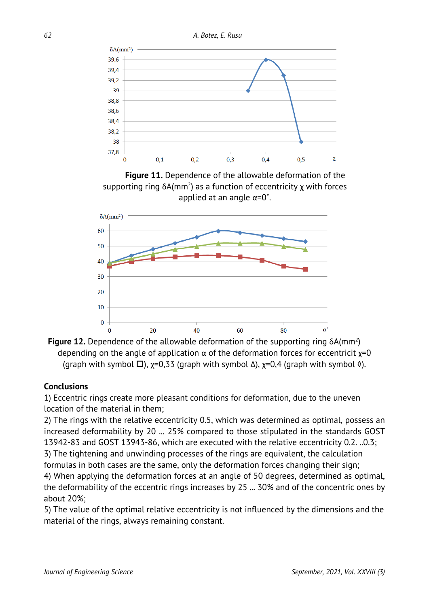

**Figure 11.** Dependence of the allowable deformation of the supporting ring  $\delta A$ (mm<sup>2</sup>) as a function of eccentricity  $\chi$  with forces applied at an angle  $\alpha = 0^\circ$ .





#### **Conclusions**

1) Eccentric rings create more pleasant conditions for deformation, due to the uneven location of the material in them;

2) The rings with the relative eccentricity 0.5, which was determined as optimal, possess an increased deformability by 20 ... 25% compared to those stipulated in the standards GOST 13942-83 and GOST 13943-86, which are executed with the relative eccentricity 0.2. ..0.3; 3) The tightening and unwinding processes of the rings are equivalent, the calculation

formulas in both cases are the same, only the deformation forces changing their sign;

4) When applying the deformation forces at an angle of 50 degrees, determined as optimal, the deformability of the eccentric rings increases by 25 ... 30% and of the concentric ones by about 20%;

5) The value of the optimal relative eccentricity is not influenced by the dimensions and the material of the rings, always remaining constant.